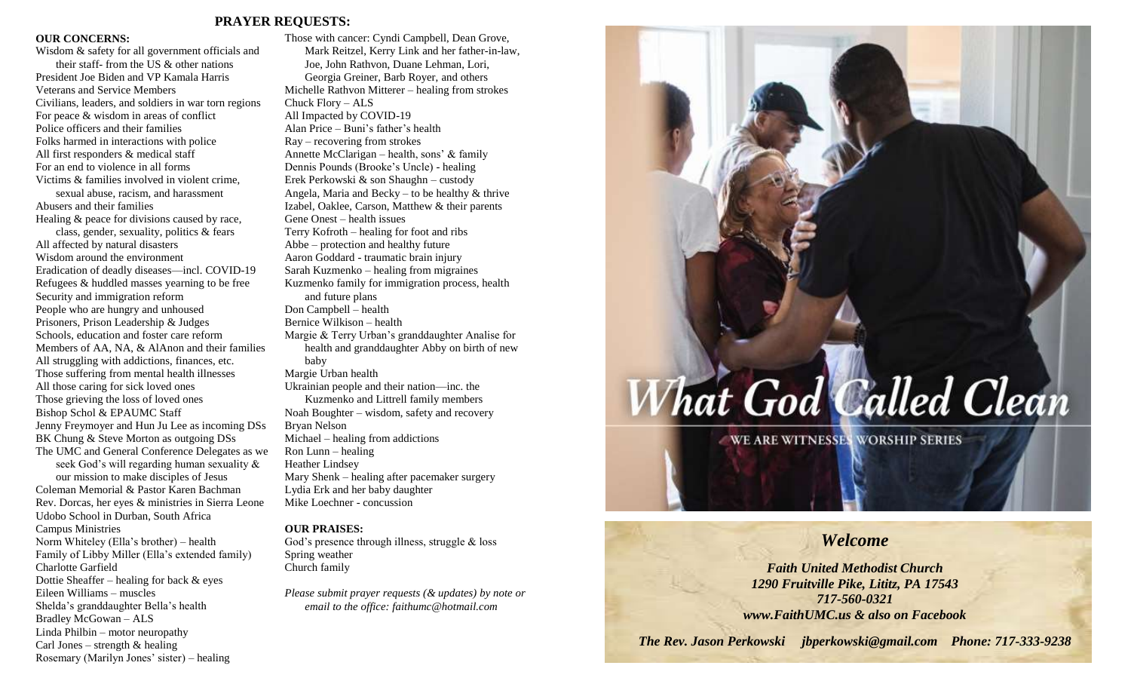# **PRAYER REQUESTS:**

## **OUR CONCERNS:**

Wisdom & safety for all government officials and their staff- from the US & other nations President Joe Biden and VP Kamala Harris Veterans and Service Members Civilians, leaders, and soldiers in war torn regions For peace & wisdom in areas of conflict Police officers and their families Folks harmed in interactions with police All first responders & medical staff For an end to violence in all forms Victims & families involved in violent crime, sexual abuse, racism, and harassment Abusers and their families Healing & peace for divisions caused by race, class, gender, sexuality, politics & fears All affected by natural disasters Wisdom around the environment Eradication of deadly diseases—incl. COVID-19 Refugees & huddled masses yearning to be free Security and immigration reform People who are hungry and unhoused Prisoners, Prison Leadership & Judges Schools, education and foster care reform Members of AA, NA, & AlAnon and their families All struggling with addictions, finances, etc. Those suffering from mental health illnesses All those caring for sick loved ones Those grieving the loss of loved ones Bishop Schol & EPAUMC Staff Jenny Freymoyer and Hun Ju Lee as incoming DSs BK Chung & Steve Morton as outgoing DSs The UMC and General Conference Delegates as we seek God's will regarding human sexuality & our mission to make disciples of Jesus Coleman Memorial & Pastor Karen Bachman Rev. Dorcas, her eyes & ministries in Sierra Leone Udobo School in Durban, South Africa Campus Ministries Norm Whiteley (Ella's brother) – health Family of Libby Miller (Ella's extended family) Charlotte Garfield Dottie Sheaffer – healing for back & eyes Eileen Williams – muscles Shelda's granddaughter Bella's health Bradley McGowan – ALS Linda Philbin – motor neuropathy

Carl Jones – strength  $&$  healing

Rosemary (Marilyn Jones' sister) – healing

Those with cancer: Cyndi Campbell, Dean Grove, Mark Reitzel, Kerry Link and her father-in-law, Joe, John Rathvon, Duane Lehman, Lori, Georgia Greiner, Barb Royer, and others Michelle Rathvon Mitterer – healing from strokes Chuck Flory – ALS All Impacted by COVID-19 Alan Price – Buni's father's health Ray – recovering from strokes Annette McClarigan – health, sons' & family Dennis Pounds (Brooke's Uncle) - healing Erek Perkowski & son Shaughn – custody Angela, Maria and Becky – to be healthy  $&$  thrive Izabel, Oaklee, Carson, Matthew & their parents Gene Onest – health issues Terry Kofroth – healing for foot and ribs Abbe – protection and healthy future Aaron Goddard - traumatic brain injury Sarah Kuzmenko – healing from migraines Kuzmenko family for immigration process, health and future plans Don Campbell – health Bernice Wilkison – health Margie & Terry Urban's granddaughter Analise for health and granddaughter Abby on birth of new baby Margie Urban health Ukrainian people and their nation—inc. the Kuzmenko and Littrell family members Noah Boughter – wisdom, safety and recovery Bryan Nelson Michael – healing from addictions Ron Lunn – healing Heather Lindsey Mary Shenk – healing after pacemaker surgery Lydia Erk and her baby daughter Mike Loechner - concussion

# **OUR PRAISES:**

God's presence through illness, struggle & loss Spring weather Church family

*Please submit prayer requests (& updates) by note or email to the office: faithumc@hotmail.com*

# What God Called Clean

WE ARE WITNESSES WORSHIP SERIES

# *Welcome*

*Faith United Methodist Church 1290 Fruitville Pike, Lititz, PA 17543 717-560-0321 www.FaithUMC.us & also on Facebook*

*The Rev. Jason Perkowski jbperkowski@gmail.com Phone: 717-333-9238*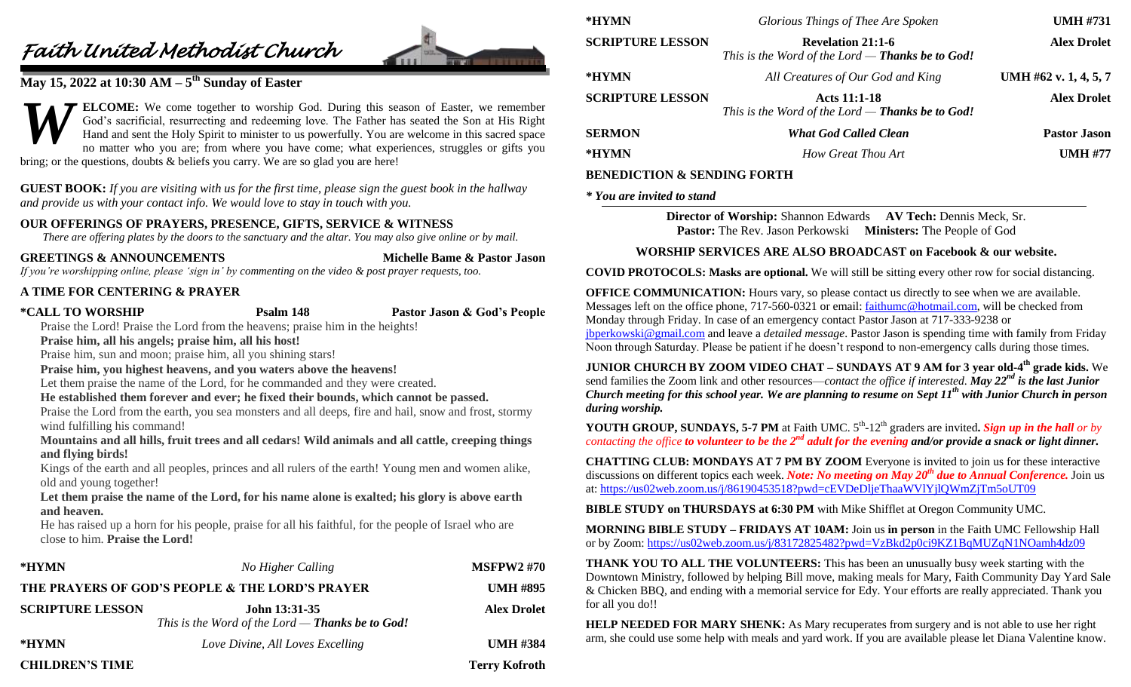# *Faith United Methodist Church*



# **May 15, 2022 at 10:30 AM – 5 th Sunday of Easter**

**ELCOME:** We come together to worship God. During this season of Easter, we remember God's sacrificial, resurrecting and redeeming love. The Father has seated the Son at His Right Hand and sent the Holy Spirit to minister to us powerfully. You are welcome in this sacred space no matter who you are; from where you have come; what experiences, struggles or gifts you bring; or the questions, doubts & beliefs you carry. We are so glad you are here! *W*

**GUEST BOOK:** *If you are visiting with us for the first time, please sign the guest book in the hallway and provide us with your contact info. We would love to stay in touch with you.*

# **OUR OFFERINGS OF PRAYERS, PRESENCE, GIFTS, SERVICE & WITNESS**

*There are offering plates by the doors to the sanctuary and the altar. You may also give online or by mail.*

**GREETINGS & ANNOUNCEMENTS Michelle Bame & Pastor Jason**

*If you're worshipping online, please 'sign in' by commenting on the video & post prayer requests, too.*

# **A TIME FOR CENTERING & PRAYER**

**\*CALL TO WORSHIP Psalm 148 Pastor Jason & God's People**

Praise the Lord! Praise the Lord from the heavens; praise him in the heights!

**Praise him, all his angels; praise him, all his host!**

Praise him, sun and moon; praise him, all you shining stars!

**Praise him, you highest heavens, and you waters above the heavens!**

Let them praise the name of the Lord, for he commanded and they were created.

**He established them forever and ever; he fixed their bounds, which cannot be passed.**

Praise the Lord from the earth, you sea monsters and all deeps, fire and hail, snow and frost, stormy wind fulfilling his command!

**Mountains and all hills, fruit trees and all cedars! Wild animals and all cattle, creeping things and flying birds!**

Kings of the earth and all peoples, princes and all rulers of the earth! Young men and women alike, old and young together!

**Let them praise the name of the Lord, for his name alone is exalted; his glory is above earth and heaven.**

He has raised up a horn for his people, praise for all his faithful, for the people of Israel who are close to him. **Praise the Lord!**

| *HYMN                                           | No Higher Calling                                                               | <b>MSFPW2#70</b>     |
|-------------------------------------------------|---------------------------------------------------------------------------------|----------------------|
| THE PRAYERS OF GOD'S PEOPLE & THE LORD'S PRAYER |                                                                                 | <b>UMH #895</b>      |
| <b>SCRIPTURE LESSON</b>                         | <b>John 13:31-35</b><br>This is the Word of the Lord — <b>Thanks be to God!</b> | <b>Alex Drolet</b>   |
| *HYMN                                           | Love Divine, All Loves Excelling                                                | <b>UMH #384</b>      |
| <b>CHILDREN'S TIME</b>                          |                                                                                 | <b>Terry Kofroth</b> |

| *HYMN                   | Glorious Things of Thee Are Spoken                                                  | <b>UMH #731</b>       |
|-------------------------|-------------------------------------------------------------------------------------|-----------------------|
| <b>SCRIPTURE LESSON</b> | <b>Revelation 21:1-6</b><br>This is the Word of the Lord — <b>Thanks be to God!</b> | <b>Alex Drolet</b>    |
| *HYMN                   | All Creatures of Our God and King                                                   | UMH #62 v. 1, 4, 5, 7 |
| <b>SCRIPTURE LESSON</b> | <b>Acts 11:1-18</b><br>This is the Word of the Lord $-$ Thanks be to God!           | <b>Alex Drolet</b>    |
| <b>SERMON</b>           | <b>What God Called Clean</b>                                                        | <b>Pastor Jason</b>   |
| *HYMN                   | How Great Thou Art                                                                  | <b>UMH #77</b>        |

# **BENEDICTION & SENDING FORTH**

# *\* You are invited to stand*

**Director of Worship:** Shannon Edwards **AV Tech:** Dennis Meck, Sr. **Pastor:** The Rev. Jason Perkowski **Ministers:** The People of God

# **WORSHIP SERVICES ARE ALSO BROADCAST on Facebook & our website.**

**COVID PROTOCOLS: Masks are optional.** We will still be sitting every other row for social distancing.

**OFFICE COMMUNICATION:** Hours vary, so please contact us directly to see when we are available. Messages left on the office phone, 717-560-0321 or email: [faithumc@hotmail.com,](mailto:faithumc@hotmail.com) will be checked from Monday through Friday. In case of an emergency contact Pastor Jason at 717-333-9238 or [jbperkowski@gmail.com](mailto:jbperkowski@gmail.com) and leave a *detailed message*. Pastor Jason is spending time with family from Friday Noon through Saturday. Please be patient if he doesn't respond to non-emergency calls during those times.

**JUNIOR CHURCH BY ZOOM VIDEO CHAT – SUNDAYS AT 9 AM for 3 year old-4 th grade kids.** We send families the Zoom link and other resources—*contact the office if interested*. *May 22nd is the last Junior Church meeting for this school year. We are planning to resume on Sept 11th with Junior Church in person during worship.*

**YOUTH GROUP, SUNDAYS, 5-7 PM** at Faith UMC.  $5<sup>th</sup>$ -12<sup>th</sup> graders are invited. Sign up in the hall or by *contacting the office to volunteer to be the 2nd adult for the evening and/or provide a snack or light dinner.*

**CHATTING CLUB: MONDAYS AT 7 PM BY ZOOM** Everyone is invited to join us for these interactive discussions on different topics each week. *Note: No meeting on May 20th due to Annual Conference.* Join us at:<https://us02web.zoom.us/j/86190453518?pwd=cEVDeDljeThaaWVlYjlQWmZjTm5oUT09>

**BIBLE STUDY on THURSDAYS at 6:30 PM** with Mike Shifflet at Oregon Community UMC.

**MORNING BIBLE STUDY – FRIDAYS AT 10AM:** Join us **in person** in the Faith UMC Fellowship Hall or by Zoom: <https://us02web.zoom.us/j/83172825482?pwd=VzBkd2p0ci9KZ1BqMUZqN1NOamh4dz09>

**THANK YOU TO ALL THE VOLUNTEERS:** This has been an unusually busy week starting with the Downtown Ministry, followed by helping Bill move, making meals for Mary, Faith Community Day Yard Sale & Chicken BBQ, and ending with a memorial service for Edy. Your efforts are really appreciated. Thank you for all you do!!

**HELP NEEDED FOR MARY SHENK:** As Mary recuperates from surgery and is not able to use her right arm, she could use some help with meals and yard work. If you are available please let Diana Valentine know.